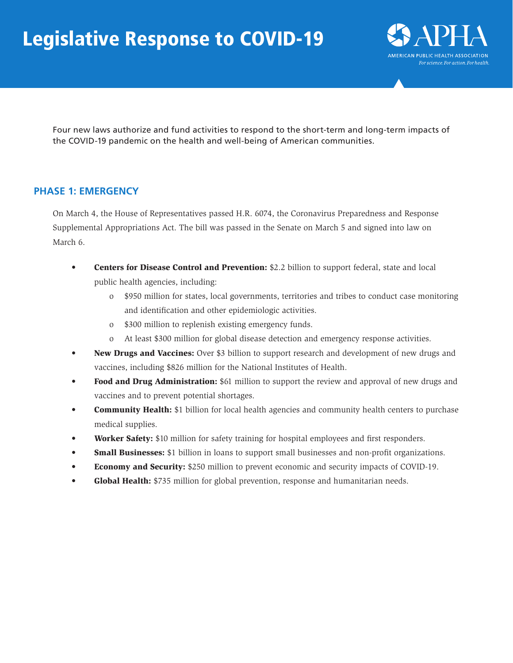# Legislative Response to COVID-19



Four new laws authorize and fund activities to respond to the short-term and long-term impacts of the COVID-19 pandemic on the health and well-being of American communities.

### **PHASE 1: EMERGENCY**

On March 4, the House of Representatives passed H.R. 6074, the Coronavirus Preparedness and Response Supplemental Appropriations Act. The bill was passed in the Senate on March 5 and signed into law on March 6.

- Centers for Disease Control and Prevention: \$2.2 billion to support federal, state and local public health agencies, including:
	- o \$950 million for states, local governments, territories and tribes to conduct case monitoring and identification and other epidemiologic activities.
	- o \$300 million to replenish existing emergency funds.
	- o At least \$300 million for global disease detection and emergency response activities.
- New Drugs and Vaccines: Over \$3 billion to support research and development of new drugs and vaccines, including \$826 million for the National Institutes of Health.
- Food and Drug Administration: \$61 million to support the review and approval of new drugs and vaccines and to prevent potential shortages.
- **Community Health:** \$1 billion for local health agencies and community health centers to purchase medical supplies.
- **Worker Safety:** \$10 million for safety training for hospital employees and first responders.
- **Small Businesses:** \$1 billion in loans to support small businesses and non-profit organizations.
- Economy and Security: \$250 million to prevent economic and security impacts of COVID-19.
- Global Health: \$735 million for global prevention, response and humanitarian needs.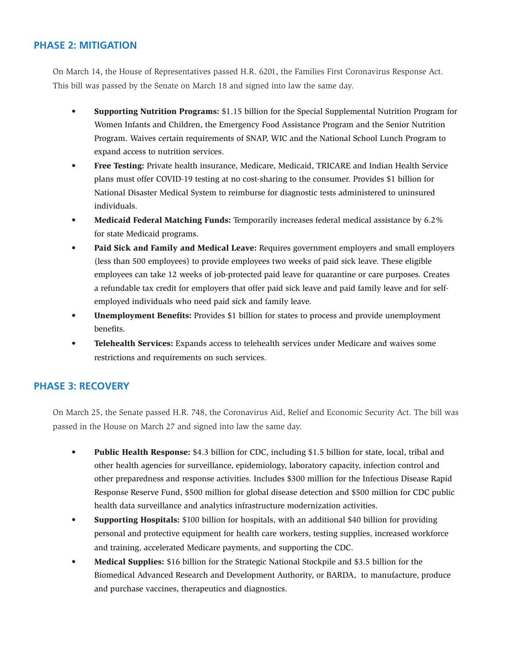#### **PHASE 2: MITIGATION**

On March 14, the House of Representatives passed H.R. 6201, the Families First Coronavirus Response Act. This bill was passed by the Senate on March 18 and signed into law the same day.

- Supporting Nutrition Programs: \$1.15 billion for the Special Supplemental Nutrition Program for Women Infants and Children, the Emergency Food Assistance Program and the Senior Nutrition Program. Waives certain requirements of SNAP, WIC and the National School Lunch Program to expand access to nutrition services.
- Free Testing: Private health insurance, Medicare, Medicaid, TRICARE and Indian Health Service plans must offer COVID-19 testing at no cost-sharing to the consumer. Provides \$1 billion for National Disaster Medical System to reimburse for diagnostic tests administered to uninsured individuals.
- Medicaid Federal Matching Funds: Temporarily increases federal medical assistance by 6.2% for state Medicaid programs.
- Paid Sick and Family and Medical Leave: Requires government employers and small employers (less than 500 employees) to provide employees two weeks of paid sick leave. These eligible employees can take 12 weeks of job-protected paid leave for quarantine or care purposes. Creates a refundable tax credit for employers that offer paid sick leave and paid family leave and for selfemployed individuals who need paid sick and family leave.
- Unemployment Benefits: Provides \$1 billion for states to process and provide unemployment benefits.
- Telehealth Services: Expands access to telehealth services under Medicare and waives some restrictions and requirements on such services.

#### **PHASE 3: RECOVERY**

On March 25, the Senate passed H.R. 748, the Coronavirus Aid, Relief and Economic Security Act. The bill was passed in the House on March 27 and signed into law the same day.

- Public Health Response: \$4.3 billion for CDC, including \$1.5 billion for state, local, tribal and other health agencies for surveillance, epidemiology, laboratory capacity, infection control and other preparedness and response activities. Includes \$300 million for the Infectious Disease Rapid Response Reserve Fund, \$500 million for global disease detection and \$500 million for CDC public health data surveillance and analytics infrastructure modernization activities.
- Supporting Hospitals: \$100 billion for hospitals, with an additional \$40 billion for providing personal and protective equipment for health care workers, testing supplies, increased workforce and training, accelerated Medicare payments, and supporting the CDC.
- Medical Supplies: \$16 billion for the Strategic National Stockpile and \$3.5 billion for the Biomedical Advanced Research and Development Authority, or BARDA, to manufacture, produce and purchase vaccines, therapeutics and diagnostics.